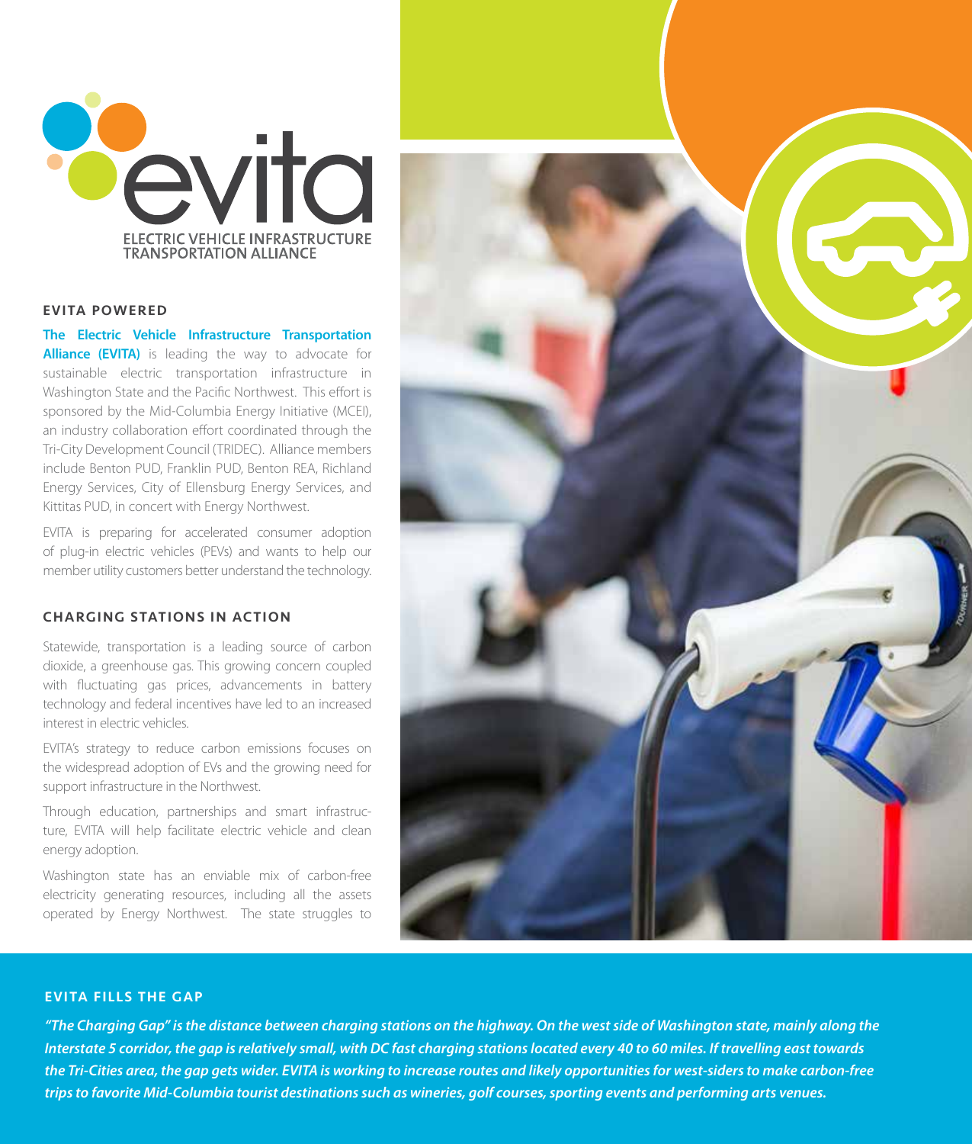

## EVITA POWERED

**The Electric Vehicle Infrastructure Transportation Alliance (EVITA)** is leading the way to advocate for sustainable electric transportation infrastructure in Washington State and the Pacific Northwest. This effort is sponsored by the Mid-Columbia Energy Initiative (MCEI), an industry collaboration effort coordinated through the Tri-City Development Council (TRIDEC). Alliance members include Benton PUD, Franklin PUD, Benton REA, Richland Energy Services, City of Ellensburg Energy Services, and Kittitas PUD, in concert with Energy Northwest.

EVITA is preparing for accelerated consumer adoption of plug-in electric vehicles (PEVs) and wants to help our member utility customers better understand the technology.

## CHARGING STATIONS IN ACTION

Statewide, transportation is a leading source of carbon dioxide, a greenhouse gas. This growing concern coupled with fluctuating gas prices, advancements in battery technology and federal incentives have led to an increased interest in electric vehicles.

EVITA's strategy to reduce carbon emissions focuses on the widespread adoption of EVs and the growing need for support infrastructure in the Northwest.

Through education, partnerships and smart infrastructure, EVITA will help facilitate electric vehicle and clean energy adoption.

Washington state has an enviable mix of carbon-free electricity generating resources, including all the assets operated by Energy Northwest. The state struggles to



## **EVITA FILLS THE GAP**

*"The Charging Gap" is the distance between charging stations on the highway. On the west side of Washington state, mainly along the Interstate 5 corridor, the gap is relatively small, with DC fast charging stations located every 40 to 60 miles. If travelling east towards the Tri-Cities area, the gap gets wider. EVITA is working to increase routes and likely opportunities for west-siders to make carbon-free trips to favorite Mid-Columbia tourist destinations such as wineries, golf courses, sporting events and performing arts venues.*